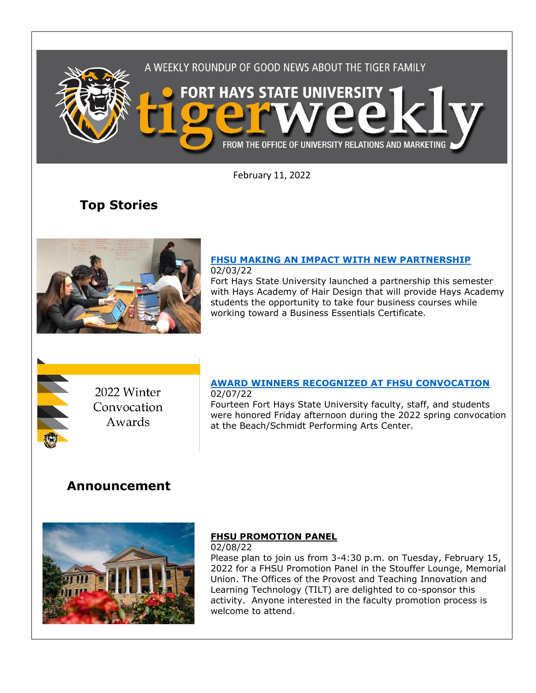

February 11, 2022

# **Top Stories**



#### **[FHSU MAKING AN IMPACT WITH NEW PARTNERSHIP](https://www.fhsu.edu/news/2022/02/fhsu-making-an-impact-with-new-partnership)** 02/03/22

Fort Hays State University launched a partnership this semester with Hays Academy of Hair Design that will provide Hays Academy students the opportunity to take four business courses while working toward a Business Essentials Certificate.



## 2022 Winter Convocation Awards

#### **[AWARD WINNERS RECOGNIZED AT FHSU CONVOCATION](https://fhsu.edu/news/2022/02/award-winners-recognized-at-fhsu-convocation)** 02/07/22

Fourteen Fort Hays State University faculty, staff, and students were honored Friday afternoon during the 2022 spring convocation at the Beach/Schmidt Performing Arts Center.

### **Announcement**



### **FHSU PROMOTION PANEL**

02/08/22 Please plan to join us from 3-4:30 p.m. on Tuesday, February 15, 2022 for a FHSU Promotion Panel in the Stouffer Lounge, Memorial Union. The Offices of the Provost and Teaching Innovation and Learning Technology (TILT) are delighted to co-sponsor this activity. Anyone interested in the faculty promotion process is welcome to attend.